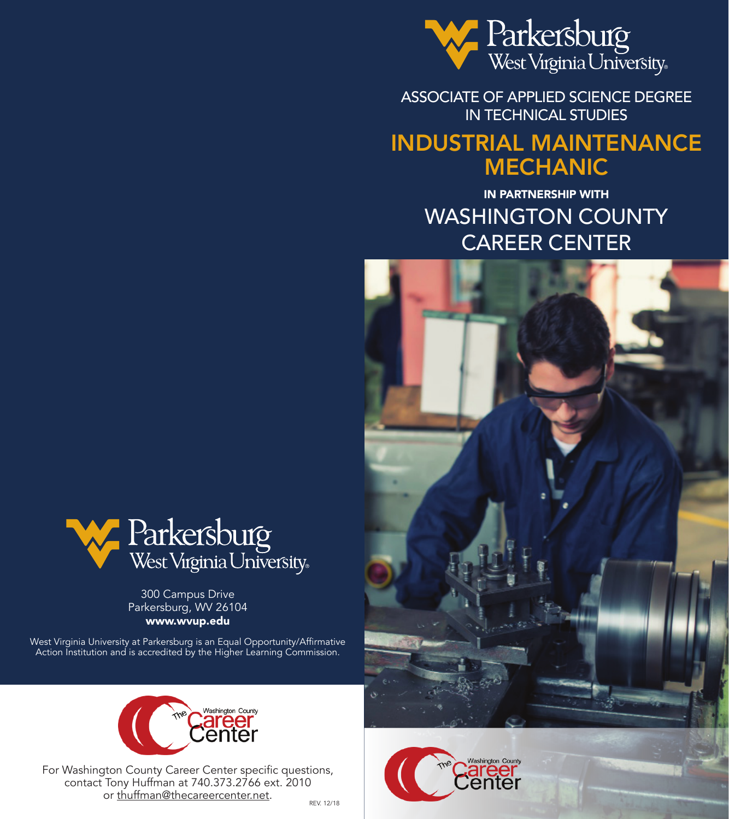

ASSOCIATE OF APPLIED SCIENCE DEGREE IN TECHNICAL STUDIES

## INDUSTRIAL MAINTENANCE MECHANIC

IN PARTNERSHIP WITH WASHINGTON COUNTY CAREER CENTER







300 Campus Drive Parkersburg, WV 26104 www.wvup.edu

West Virginia University at Parkersburg is an Equal Opportunity/Affirmative Action Institution and is accredited by the Higher Learning Commission.



For Washington County Career Center specific questions, contact Tony Huffman at 740.373.2766 ext. 2010 or thuffman@thecareercenter.net.